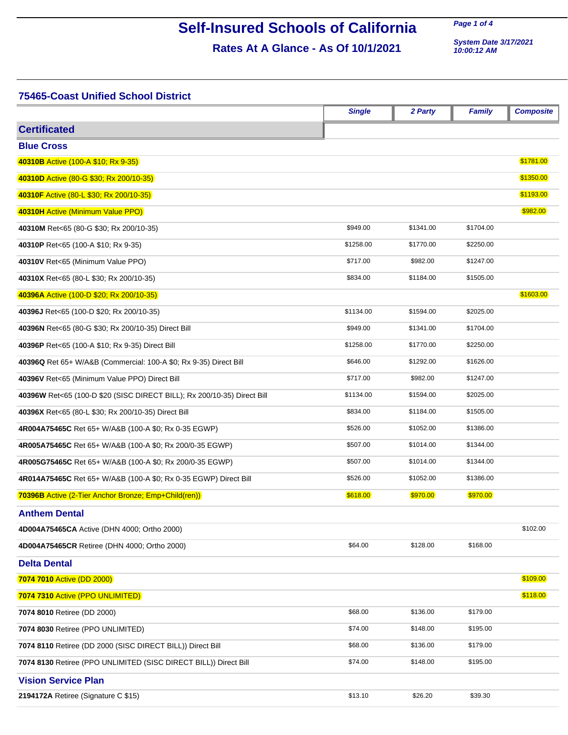**Rates At A Glance - As Of 10/1/2021**

**System Date 3/17/2021 10:00:12 AM**

**Page 1 of 4**

#### **75465-Coast Unified School District**

|                                                                         | <b>Single</b> | 2 Party   | <b>Family</b> | <b>Composite</b> |
|-------------------------------------------------------------------------|---------------|-----------|---------------|------------------|
| <b>Certificated</b>                                                     |               |           |               |                  |
| <b>Blue Cross</b>                                                       |               |           |               |                  |
| 40310B Active (100-A \$10; Rx 9-35)                                     |               |           |               | \$1781.00        |
| 40310D Active (80-G \$30; Rx 200/10-35)                                 |               |           |               | \$1350.00        |
| 40310F Active (80-L \$30; Rx 200/10-35)                                 |               |           |               | \$1193.00        |
| 40310H Active (Minimum Value PPO)                                       |               |           |               | \$982.00         |
| 40310M Ret<65 (80-G \$30; Rx 200/10-35)                                 | \$949.00      | \$1341.00 | \$1704.00     |                  |
| 40310P Ret<65 (100-A \$10; Rx 9-35)                                     | \$1258.00     | \$1770.00 | \$2250.00     |                  |
| 40310V Ret<65 (Minimum Value PPO)                                       | \$717.00      | \$982.00  | \$1247.00     |                  |
| 40310X Ret<65 (80-L \$30; Rx 200/10-35)                                 | \$834.00      | \$1184.00 | \$1505.00     |                  |
| 40396A Active (100-D \$20; Rx 200/10-35)                                |               |           |               | \$1603.00        |
| 40396J Ret<65 (100-D \$20; Rx 200/10-35)                                | \$1134.00     | \$1594.00 | \$2025.00     |                  |
| 40396N Ret<65 (80-G \$30; Rx 200/10-35) Direct Bill                     | \$949.00      | \$1341.00 | \$1704.00     |                  |
| 40396P Ret<65 (100-A \$10; Rx 9-35) Direct Bill                         | \$1258.00     | \$1770.00 | \$2250.00     |                  |
| 40396Q Ret 65+ W/A&B (Commercial: 100-A \$0; Rx 9-35) Direct Bill       | \$646.00      | \$1292.00 | \$1626.00     |                  |
| 40396V Ret<65 (Minimum Value PPO) Direct Bill                           | \$717.00      | \$982.00  | \$1247.00     |                  |
| 40396W Ret<65 (100-D \$20 (SISC DIRECT BILL); Rx 200/10-35) Direct Bill | \$1134.00     | \$1594.00 | \$2025.00     |                  |
| 40396X Ret<65 (80-L \$30; Rx 200/10-35) Direct Bill                     | \$834.00      | \$1184.00 | \$1505.00     |                  |
|                                                                         | \$526.00      | \$1052.00 | \$1386.00     |                  |
| 4R005A75465C    Ret 65+ W/A&B (100-A \$0; Rx 200/0-35 EGWP).            | \$507.00      | \$1014.00 | \$1344.00     |                  |
| 4R005G75465C Ret 65+ W/A&B (100-A \$0; Rx 200/0-35 EGWP)                | \$507.00      | \$1014.00 | \$1344.00     |                  |
| 4R014A75465C Ret 65+ W/A&B (100-A \$0; Rx 0-35 EGWP) Direct Bill        | \$526.00      | \$1052.00 | \$1386.00     |                  |
| 70396B Active (2-Tier Anchor Bronze; Emp+Child(ren))                    | \$618.00      | \$970.00  | \$970.00      |                  |
| <b>Anthem Dental</b>                                                    |               |           |               |                  |
| 4D004A75465CA Active (DHN 4000; Ortho 2000)                             |               |           |               | \$102.00         |
| 4D004A75465CR Retiree (DHN 4000; Ortho 2000)                            | \$64.00       | \$128.00  | \$168.00      |                  |
| <b>Delta Dental</b>                                                     |               |           |               |                  |
| 7074 7010 Active (DD 2000)                                              |               |           |               | \$109.00         |
| 7074 7310 Active (PPO UNLIMITED)                                        |               |           |               | \$118.00         |
| 7074 8010 Retiree (DD 2000)                                             | \$68.00       | \$136.00  | \$179.00      |                  |
| 7074 8030 Retiree (PPO UNLIMITED)                                       | \$74.00       | \$148.00  | \$195.00      |                  |
| 7074 8110 Retiree (DD 2000 (SISC DIRECT BILL)) Direct Bill              | \$68.00       | \$136.00  | \$179.00      |                  |
| 7074 8130 Retiree (PPO UNLIMITED (SISC DIRECT BILL)) Direct Bill        | \$74.00       | \$148.00  | \$195.00      |                  |
| <b>Vision Service Plan</b>                                              |               |           |               |                  |
| 2194172A Retiree (Signature C \$15)                                     | \$13.10       | \$26.20   | \$39.30       |                  |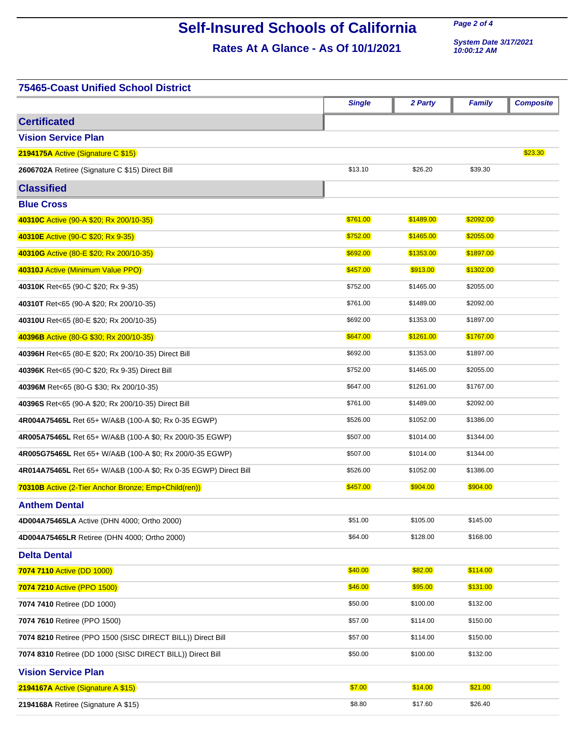**Rates At A Glance - As Of 10/1/2021**

**System Date 3/17/2021 10:00:12 AM**

**Page 2 of 4**

| <b>75465-Coast Unified School District</b>                       |               |           |               |                  |
|------------------------------------------------------------------|---------------|-----------|---------------|------------------|
|                                                                  | <b>Single</b> | 2 Party   | <b>Family</b> | <b>Composite</b> |
| <b>Certificated</b>                                              |               |           |               |                  |
| <b>Vision Service Plan</b>                                       |               |           |               |                  |
| 2194175A Active (Signature C \$15)                               |               |           |               | \$23.30          |
| 2606702A Retiree (Signature C \$15) Direct Bill                  | \$13.10       | \$26.20   | \$39.30       |                  |
| <b>Classified</b>                                                |               |           |               |                  |
| <b>Blue Cross</b>                                                |               |           |               |                  |
| 40310C Active (90-A \$20; Rx 200/10-35)                          | \$761.00      | \$1489.00 | \$2092.00     |                  |
| 40310E Active (90-C \$20; Rx 9-35)                               | \$752.00      | \$1465.00 | \$2055.00     |                  |
| 40310G Active (80-E \$20; Rx 200/10-35)                          | \$692.00      | \$1353.00 | \$1897.00     |                  |
| 40310J Active (Minimum Value PPO)                                | \$457.00      | \$913.00  | \$1302.00     |                  |
| 40310K Ret<65 (90-C \$20; Rx 9-35)                               | \$752.00      | \$1465.00 | \$2055.00     |                  |
| 40310T Ret<65 (90-A \$20; Rx 200/10-35)                          | \$761.00      | \$1489.00 | \$2092.00     |                  |
| 40310U Ret<65 (80-E \$20; Rx 200/10-35)                          | \$692.00      | \$1353.00 | \$1897.00     |                  |
| 40396B Active (80-G \$30; Rx 200/10-35)                          | \$647.00      | \$1261.00 | \$1767.00     |                  |
| 40396H Ret<65 (80-E \$20; Rx 200/10-35) Direct Bill              | \$692.00      | \$1353.00 | \$1897.00     |                  |
| 40396K Ret<65 (90-C \$20; Rx 9-35) Direct Bill                   | \$752.00      | \$1465.00 | \$2055.00     |                  |
| 40396M Ret<65 (80-G \$30; Rx 200/10-35)                          | \$647.00      | \$1261.00 | \$1767.00     |                  |
| 40396S Ret<65 (90-A \$20; Rx 200/10-35) Direct Bill              | \$761.00      | \$1489.00 | \$2092.00     |                  |
| 4R004A75465L Ret 65+ W/A&B (100-A \$0; Rx 0-35 EGWP)             | \$526.00      | \$1052.00 | \$1386.00     |                  |
| 4R005A75465L Ret 65+ W/A&B (100-A \$0; Rx 200/0-35 EGWP)         | \$507.00      | \$1014.00 | \$1344.00     |                  |
| 4R005G75465L Ret 65+ W/A&B (100-A \$0; Rx 200/0-35 EGWP)         | \$507.00      | \$1014.00 | \$1344.00     |                  |
| 4R014A75465L Ret 65+ W/A&B (100-A \$0; Rx 0-35 EGWP) Direct Bill | \$526.00      | \$1052.00 | \$1386.00     |                  |
| 70310B Active (2-Tier Anchor Bronze; Emp+Child(ren))             | \$457.00      | \$904.00  | \$904.00      |                  |
| <b>Anthem Dental</b>                                             |               |           |               |                  |
| 4D004A75465LA Active (DHN 4000; Ortho 2000)                      | \$51.00       | \$105.00  | \$145.00      |                  |
| 4D004A75465LR Retiree (DHN 4000; Ortho 2000)                     | \$64.00       | \$128.00  | \$168.00      |                  |
| <b>Delta Dental</b>                                              |               |           |               |                  |
| <b>7074 7110 Active (DD 1000)</b>                                | \$40.00       | \$82.00   | \$114.00      |                  |
| <b>7074 7210 Active (PPO 1500)</b>                               | \$46.00       | \$95.00   | \$131.00      |                  |
| 7074 7410 Retiree (DD 1000)                                      | \$50.00       | \$100.00  | \$132.00      |                  |
| 7074 7610 Retiree (PPO 1500)                                     | \$57.00       | \$114.00  | \$150.00      |                  |
| 7074 8210 Retiree (PPO 1500 (SISC DIRECT BILL)) Direct Bill      | \$57.00       | \$114.00  | \$150.00      |                  |
| 7074 8310 Retiree (DD 1000 (SISC DIRECT BILL)) Direct Bill       | \$50.00       | \$100.00  | \$132.00      |                  |
| <b>Vision Service Plan</b>                                       |               |           |               |                  |
| 2194167A Active (Signature A \$15)                               | \$7.00        | \$14.00   | \$21.00       |                  |
| 2194168A Retiree (Signature A \$15)                              | \$8.80        | \$17.60   | \$26.40       |                  |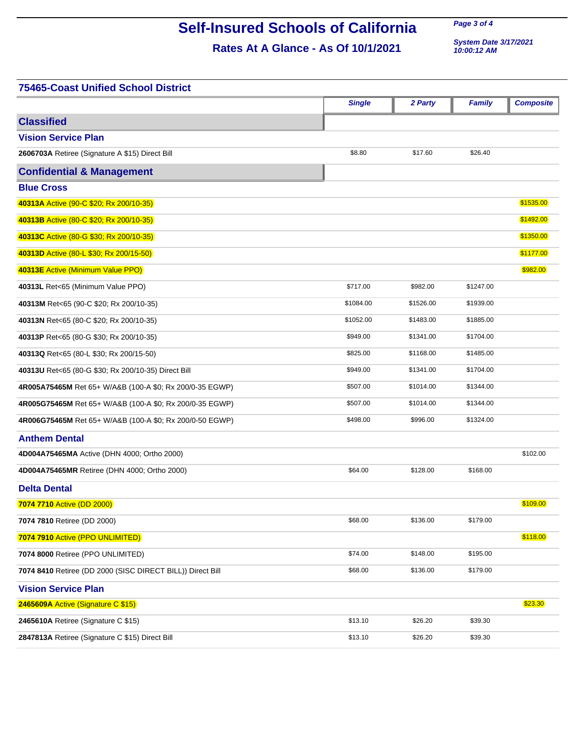**Rates At A Glance - As Of 10/1/2021**

**System Date 3/17/2021 10:00:12 AM**

| <b>75465-Coast Unified School District</b>                 |               |           |               |                  |
|------------------------------------------------------------|---------------|-----------|---------------|------------------|
|                                                            | <b>Single</b> | 2 Party   | <b>Family</b> | <b>Composite</b> |
| <b>Classified</b>                                          |               |           |               |                  |
| <b>Vision Service Plan</b>                                 |               |           |               |                  |
| 2606703A Retiree (Signature A \$15) Direct Bill            | \$8.80        | \$17.60   | \$26.40       |                  |
| <b>Confidential &amp; Management</b>                       |               |           |               |                  |
| <b>Blue Cross</b>                                          |               |           |               |                  |
| 40313A Active (90-C \$20; Rx 200/10-35)                    |               |           |               | \$1535.00        |
| 40313B Active (80-C \$20; Rx 200/10-35)                    |               |           |               | \$1492.00        |
| 40313C Active (80-G \$30; Rx 200/10-35)                    |               |           |               | \$1350.00        |
| 40313D Active (80-L \$30; Rx 200/15-50)                    |               |           |               | \$1177.00        |
| 40313E Active (Minimum Value PPO)                          |               |           |               | \$982.00         |
| 40313L Ret<65 (Minimum Value PPO)                          | \$717.00      | \$982.00  | \$1247.00     |                  |
| 40313M Ret<65 (90-C \$20; Rx 200/10-35)                    | \$1084.00     | \$1526.00 | \$1939.00     |                  |
| 40313N Ret<65 (80-C \$20; Rx 200/10-35)                    | \$1052.00     | \$1483.00 | \$1885.00     |                  |
| 40313P Ret<65 (80-G \$30; Rx 200/10-35)                    | \$949.00      | \$1341.00 | \$1704.00     |                  |
| 40313Q Ret<65 (80-L \$30; Rx 200/15-50)                    | \$825.00      | \$1168.00 | \$1485.00     |                  |
| 40313U Ret<65 (80-G \$30; Rx 200/10-35) Direct Bill        | \$949.00      | \$1341.00 | \$1704.00     |                  |
| 4R005A75465M Ret 65+ W/A&B (100-A \$0; Rx 200/0-35 EGWP)   | \$507.00      | \$1014.00 | \$1344.00     |                  |
| 4R005G75465M Ret 65+ W/A&B (100-A \$0; Rx 200/0-35 EGWP)   | \$507.00      | \$1014.00 | \$1344.00     |                  |
| 4R006G75465M Ret 65+ W/A&B (100-A \$0; Rx 200/0-50 EGWP)   | \$498.00      | \$996.00  | \$1324.00     |                  |
| <b>Anthem Dental</b>                                       |               |           |               |                  |
| 4D004A75465MA Active (DHN 4000; Ortho 2000)                |               |           |               | \$102.00         |
| 4D004A75465MR Retiree (DHN 4000; Ortho 2000)               | \$64.00       | \$128.00  | \$168.00      |                  |
| <b>Delta Dental</b>                                        |               |           |               |                  |
| <b>7074 7710 Active (DD 2000)</b>                          |               |           |               | \$109.00         |
| 7074 7810 Retiree (DD 2000)                                | \$68.00       | \$136.00  | \$179.00      |                  |
| 7074 7910 Active (PPO UNLIMITED)                           |               |           |               | \$118.00         |
| 7074 8000 Retiree (PPO UNLIMITED)                          | \$74.00       | \$148.00  | \$195.00      |                  |
| 7074 8410 Retiree (DD 2000 (SISC DIRECT BILL)) Direct Bill | \$68.00       | \$136.00  | \$179.00      |                  |
| <b>Vision Service Plan</b>                                 |               |           |               |                  |
| 2465609A Active (Signature C \$15)                         |               |           |               | \$23.30          |
| 2465610A Retiree (Signature C \$15)                        | \$13.10       | \$26.20   | \$39.30       |                  |
| 2847813A Retiree (Signature C \$15) Direct Bill            | \$13.10       | \$26.20   | \$39.30       |                  |

**Page 3 of 4**